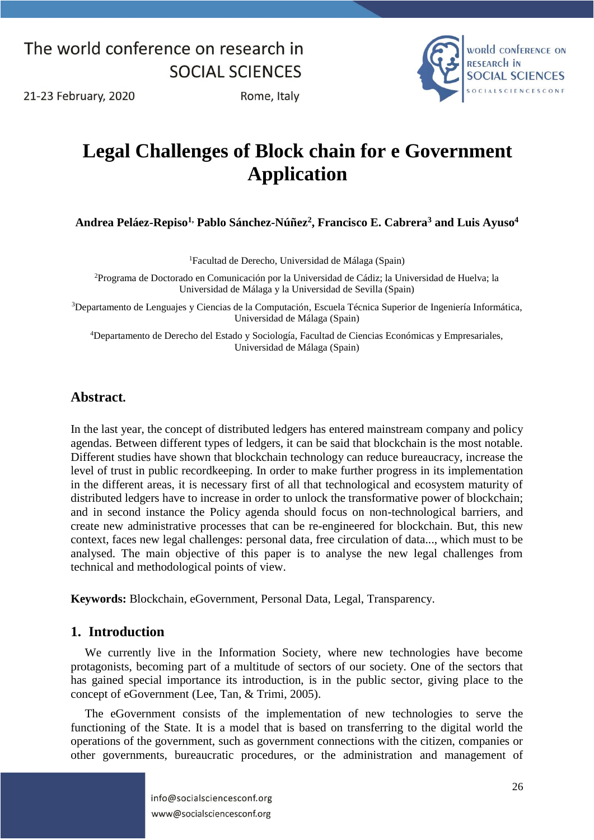

21-23 February, 2020

Rome, Italy

# **Legal Challenges of Block chain for e Government Application**

**Andrea Peláez-Repiso1, Pablo Sánchez-Núñez<sup>2</sup> , Francisco E. Cabrera<sup>3</sup> and Luis Ayuso<sup>4</sup>**

<sup>1</sup>Facultad de Derecho, Universidad de Málaga (Spain)

<sup>2</sup>Programa de Doctorado en Comunicación por la Universidad de Cádiz; la Universidad de Huelva; la Universidad de Málaga y la Universidad de Sevilla (Spain)

<sup>3</sup>Departamento de Lenguajes y Ciencias de la Computación, Escuela Técnica Superior de Ingeniería Informática, Universidad de Málaga (Spain)

<sup>4</sup>Departamento de Derecho del Estado y Sociología, Facultad de Ciencias Económicas y Empresariales, Universidad de Málaga (Spain)

#### **Abstract.**

In the last year, the concept of distributed ledgers has entered mainstream company and policy agendas. Between different types of ledgers, it can be said that blockchain is the most notable. Different studies have shown that blockchain technology can reduce bureaucracy, increase the level of trust in public recordkeeping. In order to make further progress in its implementation in the different areas, it is necessary first of all that technological and ecosystem maturity of distributed ledgers have to increase in order to unlock the transformative power of blockchain; and in second instance the Policy agenda should focus on non-technological barriers, and create new administrative processes that can be re-engineered for blockchain. But, this new context, faces new legal challenges: personal data, free circulation of data..., which must to be analysed. The main objective of this paper is to analyse the new legal challenges from technical and methodological points of view.

**Keywords:** Blockchain, eGovernment, Personal Data, Legal, Transparency.

#### **1. Introduction**

We currently live in the Information Society, where new technologies have become protagonists, becoming part of a multitude of sectors of our society. One of the sectors that has gained special importance its introduction, is in the public sector, giving place to the concept of eGovernment (Lee, Tan, & Trimi, 2005).

The eGovernment consists of the implementation of new technologies to serve the functioning of the State. It is a model that is based on transferring to the digital world the operations of the government, such as government connections with the citizen, companies or other governments, bureaucratic procedures, or the administration and management of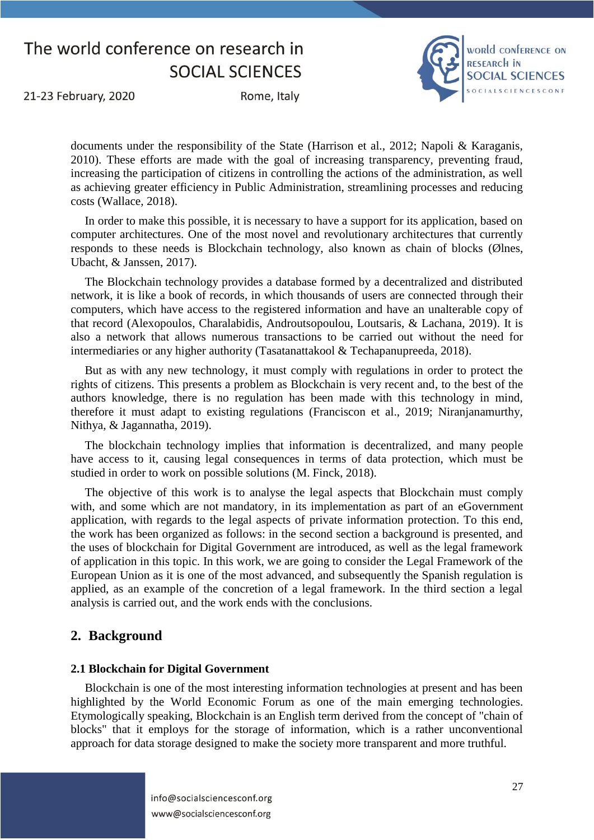

21-23 February, 2020

Rome, Italy

documents under the responsibility of the State (Harrison et al., 2012; Napoli & Karaganis, 2010). These efforts are made with the goal of increasing transparency, preventing fraud, increasing the participation of citizens in controlling the actions of the administration, as well as achieving greater efficiency in Public Administration, streamlining processes and reducing costs (Wallace, 2018).

In order to make this possible, it is necessary to have a support for its application, based on computer architectures. One of the most novel and revolutionary architectures that currently responds to these needs is Blockchain technology, also known as chain of blocks (Ølnes, Ubacht, & Janssen, 2017).

The Blockchain technology provides a database formed by a decentralized and distributed network, it is like a book of records, in which thousands of users are connected through their computers, which have access to the registered information and have an unalterable copy of that record (Alexopoulos, Charalabidis, Androutsopoulou, Loutsaris, & Lachana, 2019). It is also a network that allows numerous transactions to be carried out without the need for intermediaries or any higher authority (Tasatanattakool & Techapanupreeda, 2018).

But as with any new technology, it must comply with regulations in order to protect the rights of citizens. This presents a problem as Blockchain is very recent and, to the best of the authors knowledge, there is no regulation has been made with this technology in mind, therefore it must adapt to existing regulations (Franciscon et al., 2019; Niranjanamurthy, Nithya, & Jagannatha, 2019).

The blockchain technology implies that information is decentralized, and many people have access to it, causing legal consequences in terms of data protection, which must be studied in order to work on possible solutions (M. Finck, 2018).

The objective of this work is to analyse the legal aspects that Blockchain must comply with, and some which are not mandatory, in its implementation as part of an eGovernment application, with regards to the legal aspects of private information protection. To this end, the work has been organized as follows: in the second section a background is presented, and the uses of blockchain for Digital Government are introduced, as well as the legal framework of application in this topic. In this work, we are going to consider the Legal Framework of the European Union as it is one of the most advanced, and subsequently the Spanish regulation is applied, as an example of the concretion of a legal framework. In the third section a legal analysis is carried out, and the work ends with the conclusions.

#### **2. Background**

#### **2.1 Blockchain for Digital Government**

Blockchain is one of the most interesting information technologies at present and has been highlighted by the World Economic Forum as one of the main emerging technologies. Etymologically speaking, Blockchain is an English term derived from the concept of "chain of blocks" that it employs for the storage of information, which is a rather unconventional approach for data storage designed to make the society more transparent and more truthful.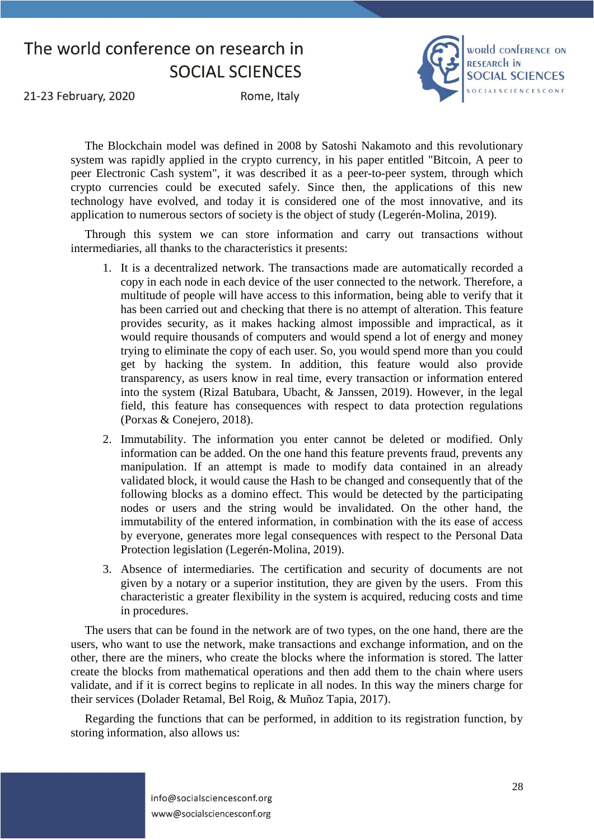

21-23 February, 2020

Rome, Italy

The Blockchain model was defined in 2008 by Satoshi Nakamoto and this revolutionary system was rapidly applied in the crypto currency, in his paper entitled "Bitcoin, A peer to peer Electronic Cash system", it was described it as a peer-to-peer system, through which crypto currencies could be executed safely. Since then, the applications of this new technology have evolved, and today it is considered one of the most innovative, and its application to numerous sectors of society is the object of study (Legerén-Molina, 2019).

Through this system we can store information and carry out transactions without intermediaries, all thanks to the characteristics it presents:

- 1. It is a decentralized network. The transactions made are automatically recorded a copy in each node in each device of the user connected to the network. Therefore, a multitude of people will have access to this information, being able to verify that it has been carried out and checking that there is no attempt of alteration. This feature provides security, as it makes hacking almost impossible and impractical, as it would require thousands of computers and would spend a lot of energy and money trying to eliminate the copy of each user. So, you would spend more than you could get by hacking the system. In addition, this feature would also provide transparency, as users know in real time, every transaction or information entered into the system (Rizal Batubara, Ubacht, & Janssen, 2019). However, in the legal field, this feature has consequences with respect to data protection regulations (Porxas & Conejero, 2018).
- 2. Immutability. The information you enter cannot be deleted or modified. Only information can be added. On the one hand this feature prevents fraud, prevents any manipulation. If an attempt is made to modify data contained in an already validated block, it would cause the Hash to be changed and consequently that of the following blocks as a domino effect. This would be detected by the participating nodes or users and the string would be invalidated. On the other hand, the immutability of the entered information, in combination with the its ease of access by everyone, generates more legal consequences with respect to the Personal Data Protection legislation (Legerén-Molina, 2019).
- 3. Absence of intermediaries. The certification and security of documents are not given by a notary or a superior institution, they are given by the users. From this characteristic a greater flexibility in the system is acquired, reducing costs and time in procedures.

The users that can be found in the network are of two types, on the one hand, there are the users, who want to use the network, make transactions and exchange information, and on the other, there are the miners, who create the blocks where the information is stored. The latter create the blocks from mathematical operations and then add them to the chain where users validate, and if it is correct begins to replicate in all nodes. In this way the miners charge for their services (Dolader Retamal, Bel Roig, & Muñoz Tapia, 2017).

Regarding the functions that can be performed, in addition to its registration function, by storing information, also allows us: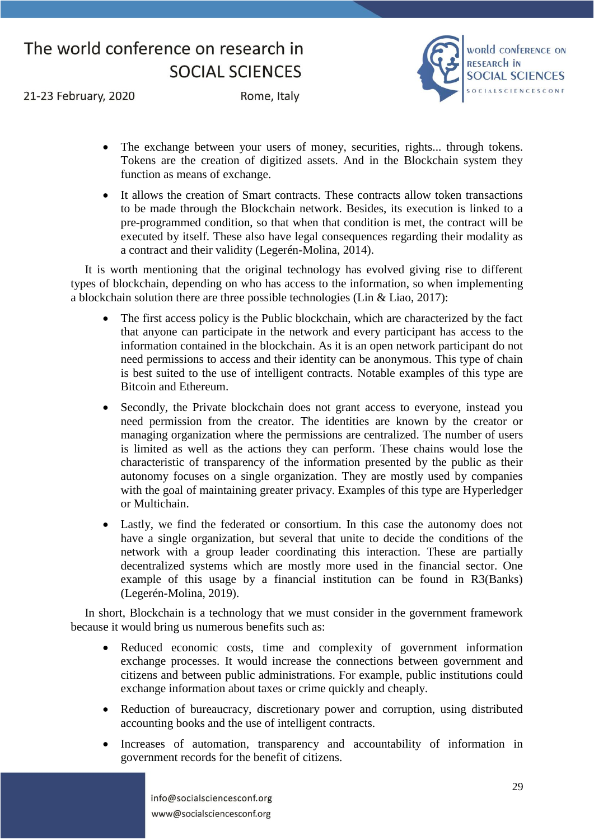

21-23 February, 2020

Rome, Italy

- The exchange between your users of money, securities, rights... through tokens. Tokens are the creation of digitized assets. And in the Blockchain system they function as means of exchange.
- It allows the creation of Smart contracts. These contracts allow token transactions to be made through the Blockchain network. Besides, its execution is linked to a pre-programmed condition, so that when that condition is met, the contract will be executed by itself. These also have legal consequences regarding their modality as a contract and their validity (Legerén-Molina, 2014).

It is worth mentioning that the original technology has evolved giving rise to different types of blockchain, depending on who has access to the information, so when implementing a blockchain solution there are three possible technologies (Lin & Liao, 2017):

- The first access policy is the Public blockchain, which are characterized by the fact that anyone can participate in the network and every participant has access to the information contained in the blockchain. As it is an open network participant do not need permissions to access and their identity can be anonymous. This type of chain is best suited to the use of intelligent contracts. Notable examples of this type are Bitcoin and Ethereum.
- Secondly, the Private blockchain does not grant access to everyone, instead you need permission from the creator. The identities are known by the creator or managing organization where the permissions are centralized. The number of users is limited as well as the actions they can perform. These chains would lose the characteristic of transparency of the information presented by the public as their autonomy focuses on a single organization. They are mostly used by companies with the goal of maintaining greater privacy. Examples of this type are Hyperledger or Multichain.
- Lastly, we find the federated or consortium. In this case the autonomy does not have a single organization, but several that unite to decide the conditions of the network with a group leader coordinating this interaction. These are partially decentralized systems which are mostly more used in the financial sector. One example of this usage by a financial institution can be found in R3(Banks) (Legerén-Molina, 2019).

In short, Blockchain is a technology that we must consider in the government framework because it would bring us numerous benefits such as:

- Reduced economic costs, time and complexity of government information exchange processes. It would increase the connections between government and citizens and between public administrations. For example, public institutions could exchange information about taxes or crime quickly and cheaply.
- Reduction of bureaucracy, discretionary power and corruption, using distributed accounting books and the use of intelligent contracts.
- Increases of automation, transparency and accountability of information in government records for the benefit of citizens.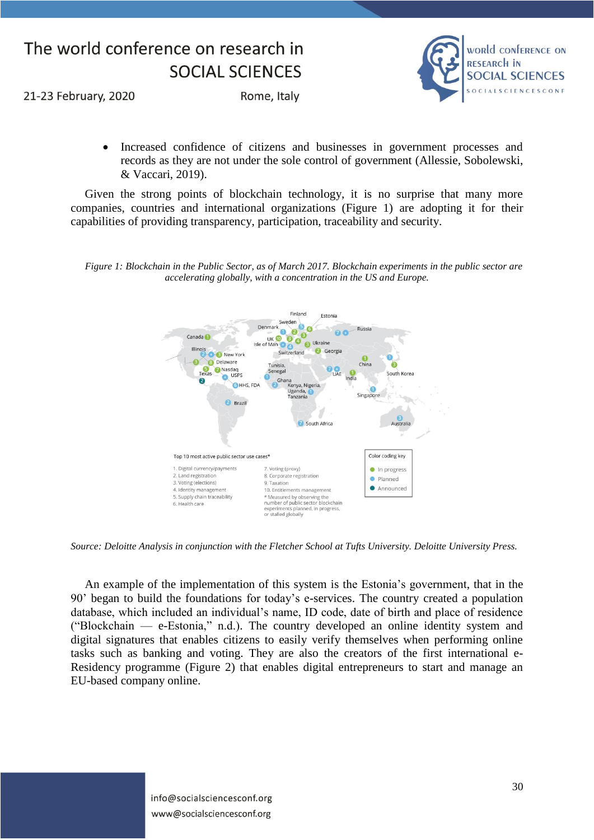

21-23 February, 2020

Rome, Italy

 Increased confidence of citizens and businesses in government processes and records as they are not under the sole control of government (Allessie, Sobolewski, & Vaccari, 2019).

Given the strong points of blockchain technology, it is no surprise that many more companies, countries and international organizations (Figure 1) are adopting it for their capabilities of providing transparency, participation, traceability and security.

*Figure 1: Blockchain in the Public Sector, as of March 2017. Blockchain experiments in the public sector are accelerating globally, with a concentration in the US and Europe.*



*Source: Deloitte Analysis in conjunction with the Fletcher School at Tufts University. Deloitte University Press.* 

An example of the implementation of this system is the Estonia's government, that in the 90' began to build the foundations for today's e-services. The country created a population database, which included an individual's name, ID code, date of birth and place of residence ("Blockchain — e-Estonia," n.d.). The country developed an online identity system and digital signatures that enables citizens to easily verify themselves when performing online tasks such as banking and voting. They are also the creators of the first international e-Residency programme (Figure 2) that enables digital entrepreneurs to start and manage an EU-based company online.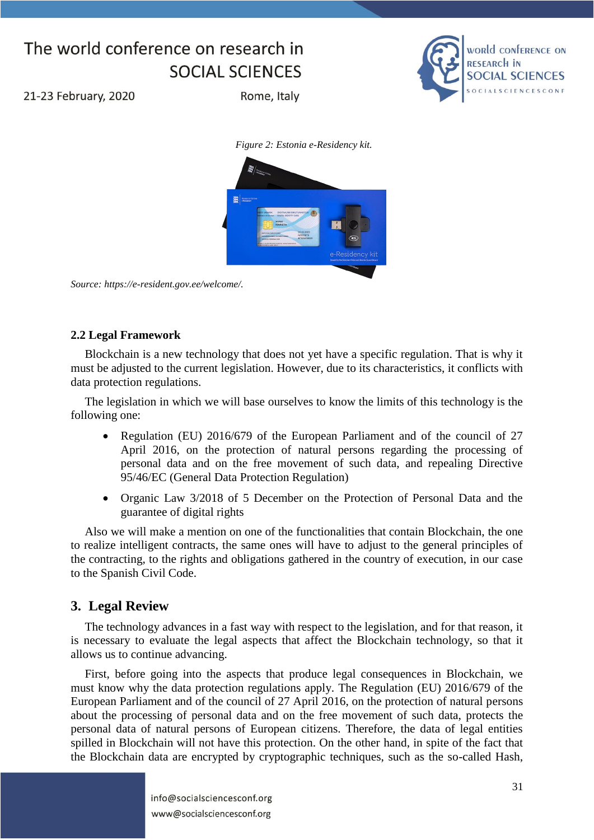

21-23 February, 2020

Rome, Italy





*Source: https://e-resident.gov.ee/welcome/.*

#### **2.2 Legal Framework**

Blockchain is a new technology that does not yet have a specific regulation. That is why it must be adjusted to the current legislation. However, due to its characteristics, it conflicts with data protection regulations.

The legislation in which we will base ourselves to know the limits of this technology is the following one:

- Regulation (EU) 2016/679 of the European Parliament and of the council of 27 April 2016, on the protection of natural persons regarding the processing of personal data and on the free movement of such data, and repealing Directive 95/46/EC (General Data Protection Regulation)
- Organic Law 3/2018 of 5 December on the Protection of Personal Data and the guarantee of digital rights

Also we will make a mention on one of the functionalities that contain Blockchain, the one to realize intelligent contracts, the same ones will have to adjust to the general principles of the contracting, to the rights and obligations gathered in the country of execution, in our case to the Spanish Civil Code.

### **3. Legal Review**

The technology advances in a fast way with respect to the legislation, and for that reason, it is necessary to evaluate the legal aspects that affect the Blockchain technology, so that it allows us to continue advancing.

First, before going into the aspects that produce legal consequences in Blockchain, we must know why the data protection regulations apply. The Regulation (EU) 2016/679 of the European Parliament and of the council of 27 April 2016, on the protection of natural persons about the processing of personal data and on the free movement of such data, protects the personal data of natural persons of European citizens. Therefore, the data of legal entities spilled in Blockchain will not have this protection. On the other hand, in spite of the fact that the Blockchain data are encrypted by cryptographic techniques, such as the so-called Hash,

> info@socialsciencesconf.org www@socialsciencesconf.org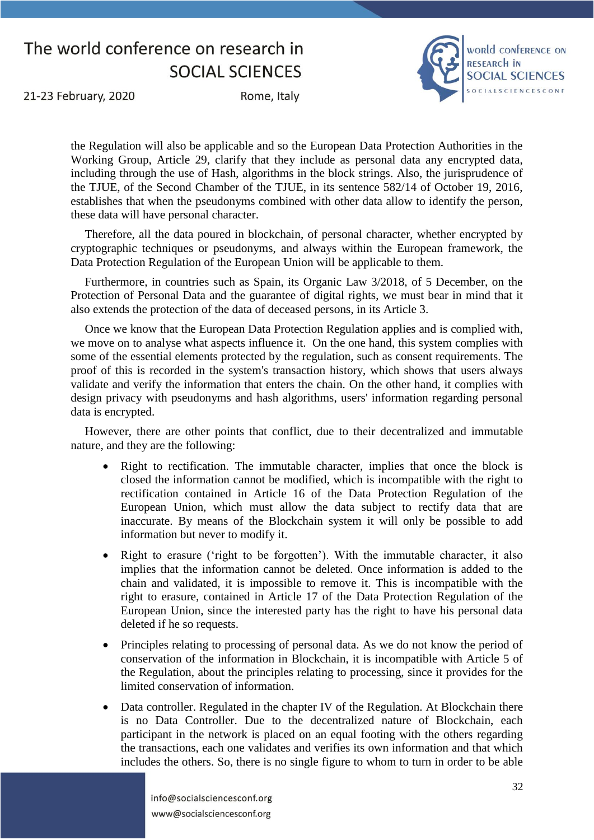

21-23 February, 2020

Rome, Italy

the Regulation will also be applicable and so the European Data Protection Authorities in the Working Group, Article 29, clarify that they include as personal data any encrypted data, including through the use of Hash, algorithms in the block strings. Also, the jurisprudence of the TJUE, of the Second Chamber of the TJUE, in its sentence 582/14 of October 19, 2016, establishes that when the pseudonyms combined with other data allow to identify the person, these data will have personal character.

Therefore, all the data poured in blockchain, of personal character, whether encrypted by cryptographic techniques or pseudonyms, and always within the European framework, the Data Protection Regulation of the European Union will be applicable to them.

Furthermore, in countries such as Spain, its Organic Law 3/2018, of 5 December, on the Protection of Personal Data and the guarantee of digital rights, we must bear in mind that it also extends the protection of the data of deceased persons, in its Article 3.

Once we know that the European Data Protection Regulation applies and is complied with, we move on to analyse what aspects influence it. On the one hand, this system complies with some of the essential elements protected by the regulation, such as consent requirements. The proof of this is recorded in the system's transaction history, which shows that users always validate and verify the information that enters the chain. On the other hand, it complies with design privacy with pseudonyms and hash algorithms, users' information regarding personal data is encrypted.

However, there are other points that conflict, due to their decentralized and immutable nature, and they are the following:

- Right to rectification. The immutable character, implies that once the block is closed the information cannot be modified, which is incompatible with the right to rectification contained in Article 16 of the Data Protection Regulation of the European Union, which must allow the data subject to rectify data that are inaccurate. By means of the Blockchain system it will only be possible to add information but never to modify it.
- Right to erasure ('right to be forgotten'). With the immutable character, it also implies that the information cannot be deleted. Once information is added to the chain and validated, it is impossible to remove it. This is incompatible with the right to erasure, contained in Article 17 of the Data Protection Regulation of the European Union, since the interested party has the right to have his personal data deleted if he so requests.
- Principles relating to processing of personal data. As we do not know the period of conservation of the information in Blockchain, it is incompatible with Article 5 of the Regulation, about the principles relating to processing, since it provides for the limited conservation of information.
- Data controller. Regulated in the chapter IV of the Regulation. At Blockchain there is no Data Controller. Due to the decentralized nature of Blockchain, each participant in the network is placed on an equal footing with the others regarding the transactions, each one validates and verifies its own information and that which includes the others. So, there is no single figure to whom to turn in order to be able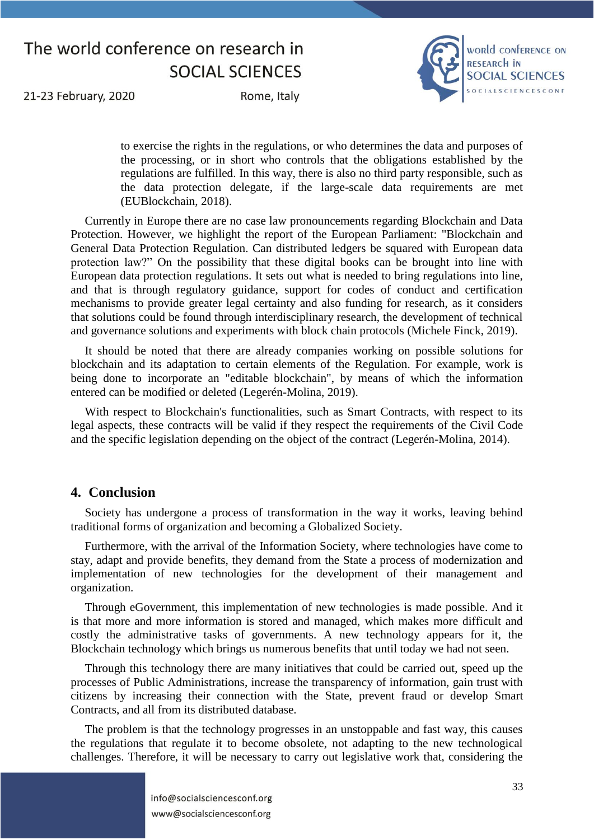

21-23 February, 2020

Rome, Italy

to exercise the rights in the regulations, or who determines the data and purposes of the processing, or in short who controls that the obligations established by the regulations are fulfilled. In this way, there is also no third party responsible, such as the data protection delegate, if the large-scale data requirements are met (EUBlockchain, 2018).

Currently in Europe there are no case law pronouncements regarding Blockchain and Data Protection. However, we highlight the report of the European Parliament: "Blockchain and General Data Protection Regulation. Can distributed ledgers be squared with European data protection law?" On the possibility that these digital books can be brought into line with European data protection regulations. It sets out what is needed to bring regulations into line, and that is through regulatory guidance, support for codes of conduct and certification mechanisms to provide greater legal certainty and also funding for research, as it considers that solutions could be found through interdisciplinary research, the development of technical and governance solutions and experiments with block chain protocols (Michele Finck, 2019).

It should be noted that there are already companies working on possible solutions for blockchain and its adaptation to certain elements of the Regulation. For example, work is being done to incorporate an "editable blockchain", by means of which the information entered can be modified or deleted (Legerén-Molina, 2019).

With respect to Blockchain's functionalities, such as Smart Contracts, with respect to its legal aspects, these contracts will be valid if they respect the requirements of the Civil Code and the specific legislation depending on the object of the contract (Legerén-Molina, 2014).

#### **4. Conclusion**

Society has undergone a process of transformation in the way it works, leaving behind traditional forms of organization and becoming a Globalized Society.

Furthermore, with the arrival of the Information Society, where technologies have come to stay, adapt and provide benefits, they demand from the State a process of modernization and implementation of new technologies for the development of their management and organization.

Through eGovernment, this implementation of new technologies is made possible. And it is that more and more information is stored and managed, which makes more difficult and costly the administrative tasks of governments. A new technology appears for it, the Blockchain technology which brings us numerous benefits that until today we had not seen.

Through this technology there are many initiatives that could be carried out, speed up the processes of Public Administrations, increase the transparency of information, gain trust with citizens by increasing their connection with the State, prevent fraud or develop Smart Contracts, and all from its distributed database.

The problem is that the technology progresses in an unstoppable and fast way, this causes the regulations that regulate it to become obsolete, not adapting to the new technological challenges. Therefore, it will be necessary to carry out legislative work that, considering the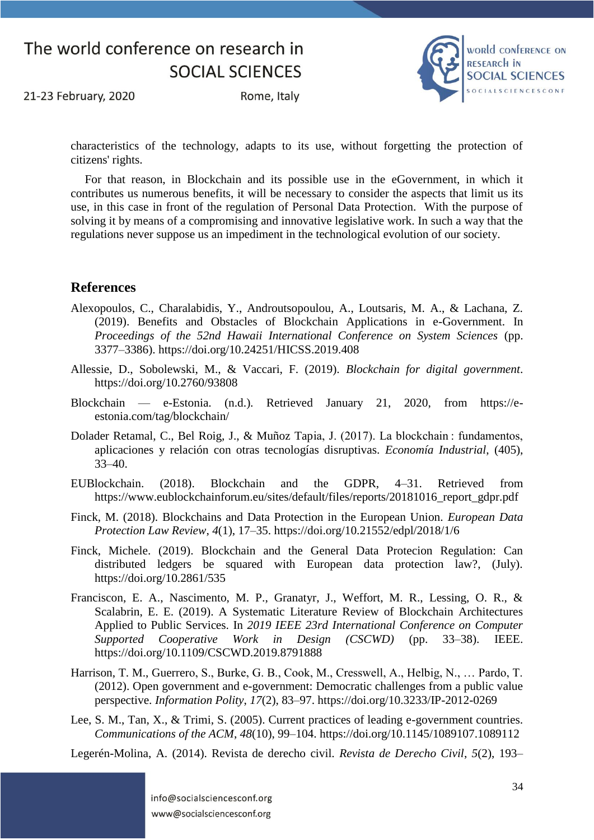

21-23 February, 2020

Rome, Italy

characteristics of the technology, adapts to its use, without forgetting the protection of citizens' rights.

For that reason, in Blockchain and its possible use in the eGovernment, in which it contributes us numerous benefits, it will be necessary to consider the aspects that limit us its use, in this case in front of the regulation of Personal Data Protection. With the purpose of solving it by means of a compromising and innovative legislative work. In such a way that the regulations never suppose us an impediment in the technological evolution of our society.

#### **References**

- Alexopoulos, C., Charalabidis, Y., Androutsopoulou, A., Loutsaris, M. A., & Lachana, Z. (2019). Benefits and Obstacles of Blockchain Applications in e-Government. In *Proceedings of the 52nd Hawaii International Conference on System Sciences* (pp. 3377–3386). https://doi.org/10.24251/HICSS.2019.408
- Allessie, D., Sobolewski, M., & Vaccari, F. (2019). *Blockchain for digital government*. https://doi.org/10.2760/93808
- Blockchain e-Estonia. (n.d.). Retrieved January 21, 2020, from https://eestonia.com/tag/blockchain/
- Dolader Retamal, C., Bel Roig, J., & Muñoz Tapia, J. (2017). La blockchain : fundamentos, aplicaciones y relación con otras tecnologías disruptivas. *Economía Industrial*, (405), 33–40.
- EUBlockchain. (2018). Blockchain and the GDPR, 4–31. Retrieved from https://www.eublockchainforum.eu/sites/default/files/reports/20181016\_report\_gdpr.pdf
- Finck, M. (2018). Blockchains and Data Protection in the European Union. *European Data Protection Law Review*, *4*(1), 17–35. https://doi.org/10.21552/edpl/2018/1/6
- Finck, Michele. (2019). Blockchain and the General Data Protecion Regulation: Can distributed ledgers be squared with European data protection law?, (July). https://doi.org/10.2861/535
- Franciscon, E. A., Nascimento, M. P., Granatyr, J., Weffort, M. R., Lessing, O. R., & Scalabrin, E. E. (2019). A Systematic Literature Review of Blockchain Architectures Applied to Public Services. In *2019 IEEE 23rd International Conference on Computer Supported Cooperative Work in Design (CSCWD)* (pp. 33–38). IEEE. https://doi.org/10.1109/CSCWD.2019.8791888
- Harrison, T. M., Guerrero, S., Burke, G. B., Cook, M., Cresswell, A., Helbig, N., … Pardo, T. (2012). Open government and e-government: Democratic challenges from a public value perspective. *Information Polity*, *17*(2), 83–97. https://doi.org/10.3233/IP-2012-0269
- Lee, S. M., Tan, X., & Trimi, S. (2005). Current practices of leading e-government countries. *Communications of the ACM*, *48*(10), 99–104. https://doi.org/10.1145/1089107.1089112

Legerén-Molina, A. (2014). Revista de derecho civil. *Revista de Derecho Civil*, *5*(2), 193–